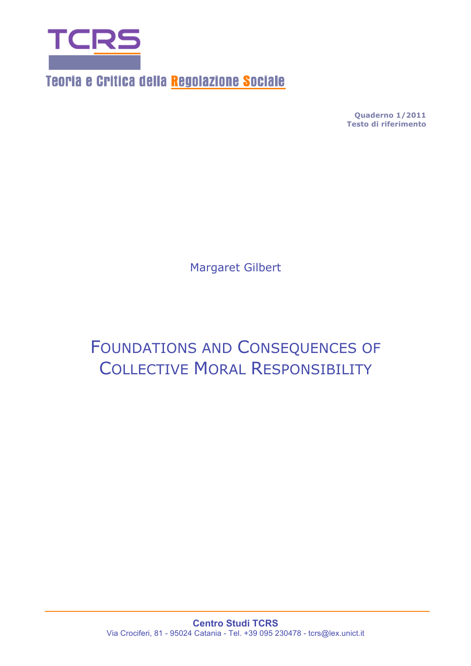

Teoria e Critica della Regolazione Sociale

**Quaderno 1/2011 Testo di riferimento** 

Margaret Gilbert

# FOUNDATIONS AND CONSEQUENCES OF COLLECTIVE MORAL RESPONSIBILITY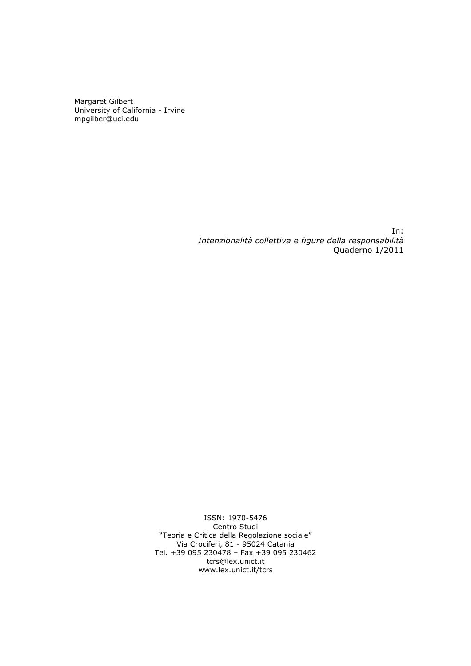Margaret Gilbert University of California - Irvine mpgilber@uci.edu

> In: *Intenzionalità collettiva e figure della responsabilità*  Quaderno 1/2011

ISSN: 1970-5476 Centro Studi "Teoria e Critica della Regolazione sociale" Via Crociferi, 81 - 95024 Catania Tel. +39 095 230478 – Fax +39 095 230462 tcrs@lex.unict.it www.lex.unict.it/tcrs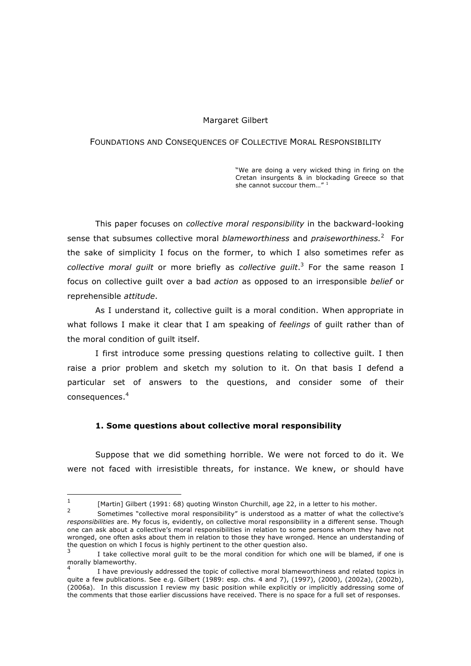#### Margaret Gilbert

#### FOUNDATIONS AND CONSEQUENCES OF COLLECTIVE MORAL RESPONSIBILITY

"We are doing a very wicked thing in firing on the Cretan insurgents & in blockading Greece so that she cannot succour them..."<sup>1</sup>

This paper focuses on *collective moral responsibility* in the backward-looking sense that subsumes collective moral *blameworthiness* and *praiseworthiness.*<sup>2</sup> For the sake of simplicity I focus on the former, to which I also sometimes refer as *collective moral guilt* or more briefly as *collective guilt*. 3 For the same reason I focus on collective guilt over a bad *action* as opposed to an irresponsible *belief* or reprehensible *attitude*.

As I understand it, collective guilt is a moral condition. When appropriate in what follows I make it clear that I am speaking of *feelings* of guilt rather than of the moral condition of guilt itself.

I first introduce some pressing questions relating to collective guilt. I then raise a prior problem and sketch my solution to it. On that basis I defend a particular set of answers to the questions, and consider some of their consequences.<sup>4</sup>

#### **1. Some questions about collective moral responsibility**

Suppose that we did something horrible. We were not forced to do it. We were not faced with irresistible threats, for instance. We knew, or should have

 $\overline{a}$ 

<sup>&</sup>lt;sup>1</sup> [Martin] Gilbert (1991: 68) quoting Winston Churchill, age 22, in a letter to his mother.

<sup>2</sup> Sometimes "collective moral responsibility" is understood as a matter of what the collective's *responsibilities* are. My focus is, evidently, on collective moral responsibility in a different sense. Though one can ask about a collective's moral responsibilities in relation to some persons whom they have not wronged, one often asks about them in relation to those they have wronged. Hence an understanding of the question on which I focus is highly pertinent to the other question also.

I take collective moral quilt to be the moral condition for which one will be blamed, if one is morally blameworthy.

<sup>4</sup> I have previously addressed the topic of collective moral blameworthiness and related topics in quite a few publications. See e.g. Gilbert (1989: esp. chs. 4 and 7), (1997), (2000), (2002a), (2002b), (2006a). In this discussion I review my basic position while explicitly or implicitly addressing some of the comments that those earlier discussions have received. There is no space for a full set of responses.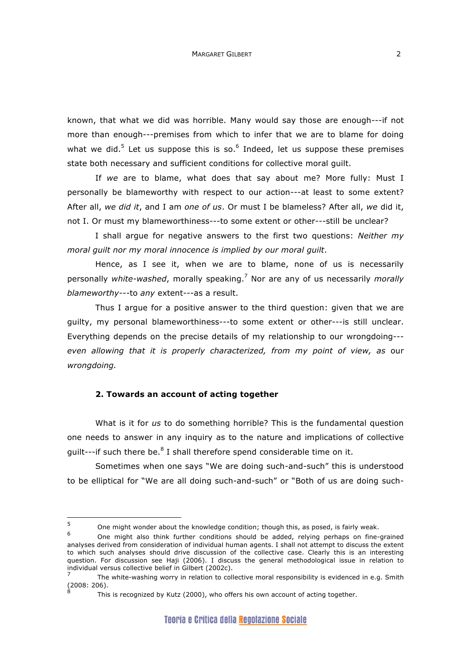known, that what we did was horrible. Many would say those are enough---if not more than enough---premises from which to infer that we are to blame for doing what we did.<sup>5</sup> Let us suppose this is so.<sup>6</sup> Indeed, let us suppose these premises state both necessary and sufficient conditions for collective moral guilt.

If *we* are to blame, what does that say about me? More fully: Must I personally be blameworthy with respect to our action---at least to some extent? After all, *we did it*, and I am *one of us*. Or must I be blameless? After all, *we* did it, not I. Or must my blameworthiness---to some extent or other---still be unclear?

I shall argue for negative answers to the first two questions: *Neither my moral guilt nor my moral innocence is implied by our moral guilt*.

Hence, as I see it, when we are to blame, none of us is necessarily personally *white-washed*, morally speaking.<sup>7</sup> Nor are any of us necessarily *morally blameworthy---*to *any* extent*---*as a result.

Thus I argue for a positive answer to the third question: given that we are guilty, my personal blameworthiness---to some extent or other---is still unclear. Everything depends on the precise details of my relationship to our wrongdoing-- *even allowing that it is properly characterized, from my point of view, as* our *wrongdoing.*

## **2. Towards an account of acting together**

 $\overline{a}$ 

What is it for *us* to do something horrible? This is the fundamental question one needs to answer in any inquiry as to the nature and implications of collective guilt---if such there be.<sup>8</sup> I shall therefore spend considerable time on it.

Sometimes when one says "We are doing such-and-such" this is understood to be elliptical for "We are all doing such-and-such" or "Both of us are doing such-

 $5$  One might wonder about the knowledge condition; though this, as posed, is fairly weak.

<sup>6</sup> One might also think further conditions should be added, relying perhaps on fine-grained analyses derived from consideration of individual human agents. I shall not attempt to discuss the extent to which such analyses should drive discussion of the collective case. Clearly this is an interesting question. For discussion see Haji (2006). I discuss the general methodological issue in relation to individual versus collective belief in Gilbert (2002c).

<sup>7</sup> The white-washing worry in relation to collective moral responsibility is evidenced in e.g. Smith (2008: 206).

This is recognized by Kutz (2000), who offers his own account of acting together.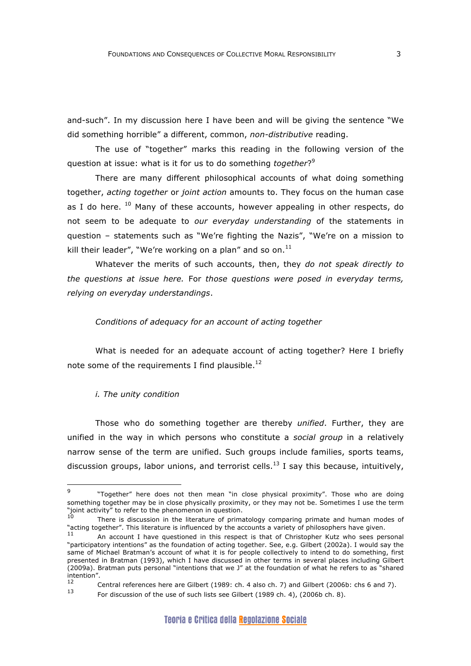and-such". In my discussion here I have been and will be giving the sentence "We did something horrible" a different, common, *non-distributive* reading.

The use of "together" marks this reading in the following version of the question at issue: what is it for us to do something *together*?<sup>9</sup>

There are many different philosophical accounts of what doing something together, *acting together* or *joint action* amounts to. They focus on the human case as I do here.  $^{10}$  Many of these accounts, however appealing in other respects, do not seem to be adequate to *our everyday understanding* of the statements in question – statements such as "We're fighting the Nazis", "We're on a mission to kill their leader", "We're working on a plan" and so on. $^{11}$ 

Whatever the merits of such accounts, then, they *do not speak directly to the questions at issue here.* For *those questions were posed in everyday terms, relying on everyday understandings*.

#### *Conditions of adequacy for an account of acting together*

What is needed for an adequate account of acting together? Here I briefly note some of the requirements I find plausible.<sup>12</sup>

### *i. The unity condition*

 $\overline{a}$ 

Those who do something together are thereby *unified*. Further, they are unified in the way in which persons who constitute a *social group* in a relatively narrow sense of the term are unified. Such groups include families, sports teams, discussion groups, labor unions, and terrorist cells.<sup>13</sup> I say this because, intuitively,

<sup>&</sup>quot;Together" here does not then mean "in close physical proximity". Those who are doing something together may be in close physically proximity, or they may not be. Sometimes I use the term "joint activity" to refer to the phenomenon in question.

There is discussion in the literature of primatology comparing primate and human modes of "acting together". This literature is influenced by the accounts a variety of philosophers have given.

An account I have questioned in this respect is that of Christopher Kutz who sees personal "participatory intentions" as the foundation of acting together. See, e.g. Gilbert (2002a). I would say the same of Michael Bratman's account of what it is for people collectively to intend to do something, first presented in Bratman (1993), which I have discussed in other terms in several places including Gilbert (2009a). Bratman puts personal "intentions that we J" at the foundation of what he refers to as "shared intention".<br>
12

<sup>&</sup>lt;sup>12</sup> Central references here are Gilbert (1989: ch. 4 also ch. 7) and Gilbert (2006b: chs 6 and 7). For discussion of the use of such lists see Gilbert (1989 ch. 4), (2006b ch. 8).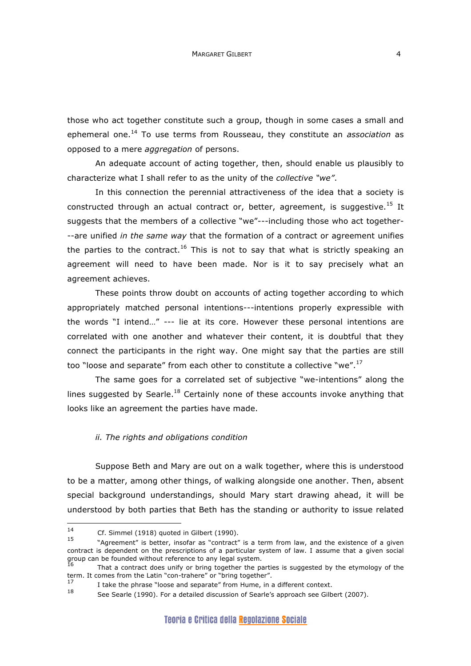those who act together constitute such a group, though in some cases a small and ephemeral one.14 To use terms from Rousseau, they constitute an *association* as opposed to a mere *aggregation* of persons.

An adequate account of acting together, then, should enable us plausibly to characterize what I shall refer to as the unity of the *collective "we"*.

In this connection the perennial attractiveness of the idea that a society is constructed through an actual contract or, better, agreement, is suggestive.<sup>15</sup> It suggests that the members of a collective "we"---including those who act together- --are unified *in the same way* that the formation of a contract or agreement unifies the parties to the contract.<sup>16</sup> This is not to say that what is strictly speaking an agreement will need to have been made. Nor is it to say precisely what an agreement achieves.

These points throw doubt on accounts of acting together according to which appropriately matched personal intentions---intentions properly expressible with the words "I intend…" --- lie at its core. However these personal intentions are correlated with one another and whatever their content, it is doubtful that they connect the participants in the right way. One might say that the parties are still too "loose and separate" from each other to constitute a collective "we".<sup>17</sup>

The same goes for a correlated set of subjective "we-intentions" along the lines suggested by Searle.<sup>18</sup> Certainly none of these accounts invoke anything that looks like an agreement the parties have made.

#### *ii. The rights and obligations condition*

Suppose Beth and Mary are out on a walk together, where this is understood to be a matter, among other things, of walking alongside one another. Then, absent special background understandings, should Mary start drawing ahead, it will be understood by both parties that Beth has the standing or authority to issue related

 $\overline{a}$ 

<sup>&</sup>lt;sup>14</sup> Cf. Simmel (1918) quoted in Gilbert (1990).

<sup>&</sup>quot;Agreement" is better, insofar as "contract" is a term from law, and the existence of a given contract is dependent on the prescriptions of a particular system of law. I assume that a given social group can be founded without reference to any legal system.

That a contract does unify or bring together the parties is suggested by the etymology of the term. It comes from the Latin "con-trahere" or "bring together".

<sup>&</sup>lt;sup>17</sup> I take the phrase "loose and separate" from Hume, in a different context.

See Searle (1990). For a detailed discussion of Searle's approach see Gilbert (2007).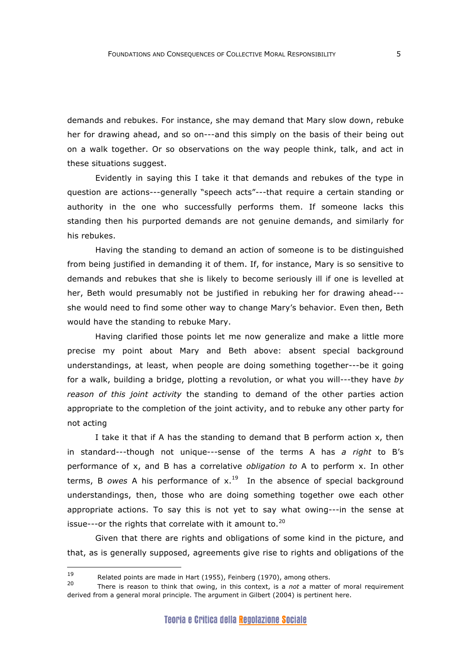demands and rebukes. For instance, she may demand that Mary slow down, rebuke her for drawing ahead, and so on---and this simply on the basis of their being out on a walk together. Or so observations on the way people think, talk, and act in these situations suggest.

Evidently in saying this I take it that demands and rebukes of the type in question are actions---generally "speech acts"---that require a certain standing or authority in the one who successfully performs them. If someone lacks this standing then his purported demands are not genuine demands, and similarly for his rebukes.

Having the standing to demand an action of someone is to be distinguished from being justified in demanding it of them. If, for instance, Mary is so sensitive to demands and rebukes that she is likely to become seriously ill if one is levelled at her, Beth would presumably not be justified in rebuking her for drawing ahead-- she would need to find some other way to change Mary's behavior. Even then, Beth would have the standing to rebuke Mary.

Having clarified those points let me now generalize and make a little more precise my point about Mary and Beth above: absent special background understandings, at least, when people are doing something together---be it going for a walk, building a bridge, plotting a revolution, or what you will---they have *by reason of this joint activity* the standing to demand of the other parties action appropriate to the completion of the joint activity, and to rebuke any other party for not acting

I take it that if A has the standing to demand that B perform action x, then in standard---though not unique---sense of the terms A has *a right* to B's performance of x, and B has a correlative *obligation to* A to perform x. In other terms, B *owes* A his performance of  $x<sup>19</sup>$  In the absence of special background understandings, then, those who are doing something together owe each other appropriate actions. To say this is not yet to say what owing---in the sense at issue---or the rights that correlate with it amount to. $20$ 

Given that there are rights and obligations of some kind in the picture, and that, as is generally supposed, agreements give rise to rights and obligations of the

<sup>19</sup>  $19$  Related points are made in Hart (1955), Feinberg (1970), among others.

<sup>20</sup> There is reason to think that owing, in this context, is a *not* a matter of moral requirement derived from a general moral principle. The argument in Gilbert (2004) is pertinent here.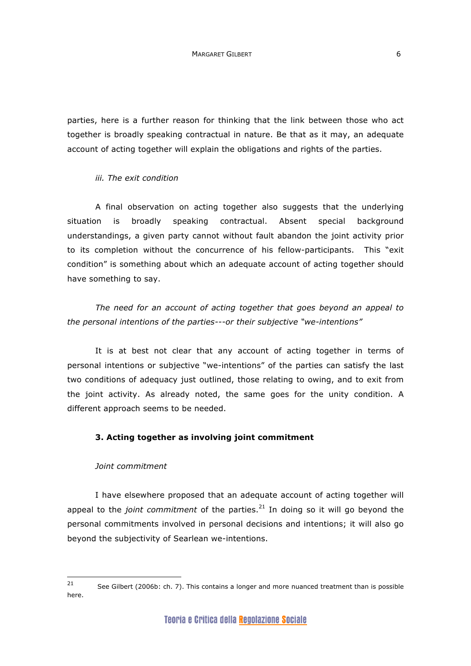parties, here is a further reason for thinking that the link between those who act together is broadly speaking contractual in nature. Be that as it may, an adequate account of acting together will explain the obligations and rights of the parties.

## *iii. The exit condition*

A final observation on acting together also suggests that the underlying situation is broadly speaking contractual. Absent special background understandings, a given party cannot without fault abandon the joint activity prior to its completion without the concurrence of his fellow-participants. This "exit condition" is something about which an adequate account of acting together should have something to say.

*The need for an account of acting together that goes beyond an appeal to the personal intentions of the parties---or their subjective "we-intentions"*

It is at best not clear that any account of acting together in terms of personal intentions or subjective "we-intentions" of the parties can satisfy the last two conditions of adequacy just outlined, those relating to owing, and to exit from the joint activity. As already noted, the same goes for the unity condition. A different approach seems to be needed.

# **3. Acting together as involving joint commitment**

## *Joint commitment*

I have elsewhere proposed that an adequate account of acting together will appeal to the *joint commitment* of the parties.<sup>21</sup> In doing so it will go beyond the personal commitments involved in personal decisions and intentions; it will also go beyond the subjectivity of Searlean we-intentions.

 $21$ 21 See Gilbert (2006b: ch. 7). This contains a longer and more nuanced treatment than is possible here.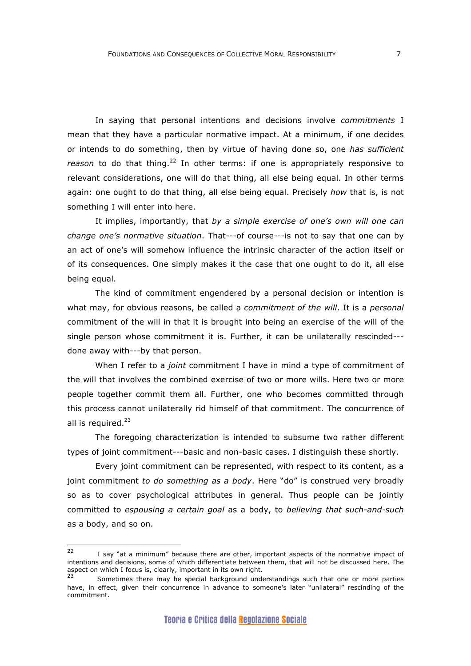In saying that personal intentions and decisions involve *commitments* I mean that they have a particular normative impact. At a minimum, if one decides or intends to do something, then by virtue of having done so, one *has sufficient*  reason to do that thing.<sup>22</sup> In other terms: if one is appropriately responsive to relevant considerations, one will do that thing, all else being equal. In other terms again: one ought to do that thing, all else being equal. Precisely *how* that is, is not something I will enter into here.

It implies, importantly, that *by a simple exercise of one's own will one can change one's normative situation*. That---of course---is not to say that one can by an act of one's will somehow influence the intrinsic character of the action itself or of its consequences. One simply makes it the case that one ought to do it, all else being equal.

The kind of commitment engendered by a personal decision or intention is what may, for obvious reasons, be called a *commitment of the will*. It is a *personal* commitment of the will in that it is brought into being an exercise of the will of the single person whose commitment it is. Further, it can be unilaterally rescinded-- done away with---by that person.

When I refer to a *joint* commitment I have in mind a type of commitment of the will that involves the combined exercise of two or more wills. Here two or more people together commit them all. Further, one who becomes committed through this process cannot unilaterally rid himself of that commitment. The concurrence of all is required. $^{23}$ 

The foregoing characterization is intended to subsume two rather different types of joint commitment---basic and non-basic cases. I distinguish these shortly.

Every joint commitment can be represented, with respect to its content, as a joint commitment *to do something as a body*. Here "do" is construed very broadly so as to cover psychological attributes in general. Thus people can be jointly committed to *espousing a certain goal* as a body, to *believing that such-and-such* as a body, and so on.

<sup>22</sup> I say "at a minimum" because there are other, important aspects of the normative impact of intentions and decisions, some of which differentiate between them, that will not be discussed here. The aspect on which I focus is, clearly, important in its own right.

Sometimes there may be special background understandings such that one or more parties have, in effect, given their concurrence in advance to someone's later "unilateral" rescinding of the commitment.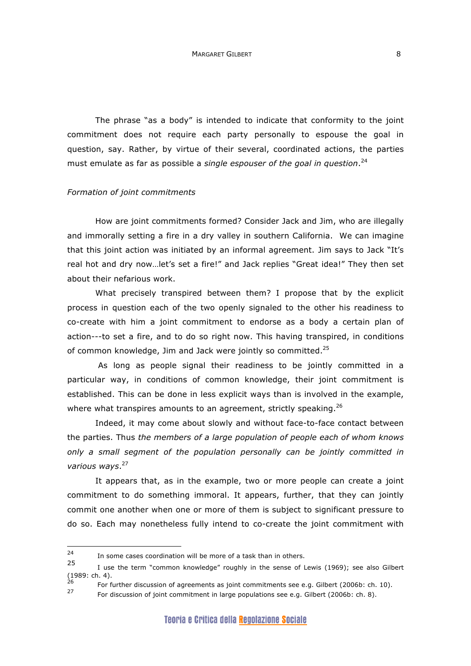The phrase "as a body" is intended to indicate that conformity to the joint commitment does not require each party personally to espouse the goal in question, say. Rather, by virtue of their several, coordinated actions, the parties must emulate as far as possible a *single espouser of the goal in question*. 24

### *Formation of joint commitments*

How are joint commitments formed? Consider Jack and Jim, who are illegally and immorally setting a fire in a dry valley in southern California. We can imagine that this joint action was initiated by an informal agreement. Jim says to Jack "It's real hot and dry now…let's set a fire!" and Jack replies "Great idea!" They then set about their nefarious work.

What precisely transpired between them? I propose that by the explicit process in question each of the two openly signaled to the other his readiness to co-create with him a joint commitment to endorse as a body a certain plan of action---to set a fire, and to do so right now. This having transpired, in conditions of common knowledge, Jim and Jack were jointly so committed.<sup>25</sup>

 As long as people signal their readiness to be jointly committed in a particular way, in conditions of common knowledge, their joint commitment is established. This can be done in less explicit ways than is involved in the example, where what transpires amounts to an agreement, strictly speaking. $^{26}$ 

Indeed, it may come about slowly and without face-to-face contact between the parties. Thus *the members of a large population of people each of whom knows only a small segment of the population personally can be jointly committed in various ways*. 27

It appears that, as in the example, two or more people can create a joint commitment to do something immoral. It appears, further, that they can jointly commit one another when one or more of them is subject to significant pressure to do so. Each may nonetheless fully intend to co-create the joint commitment with

<sup>26</sup> For further discussion of agreements as joint commitments see e.g. Gilbert (2006b: ch. 10).

 $24$ <sup>24</sup> In some cases coordination will be more of a task than in others.<br>25

I use the term "common knowledge" roughly in the sense of Lewis (1969); see also Gilbert  $(1989:$  ch. 4).

For discussion of joint commitment in large populations see e.g. Gilbert (2006b: ch. 8).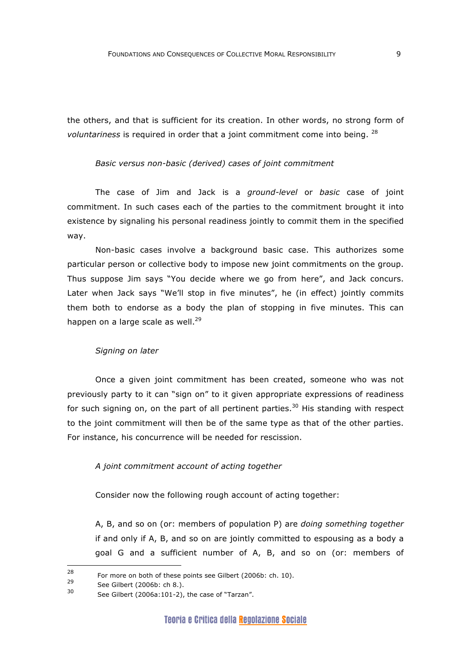the others, and that is sufficient for its creation. In other words, no strong form of *voluntariness* is required in order that a joint commitment come into being. <sup>28</sup>

#### *Basic versus non-basic (derived) cases of joint commitment*

The case of Jim and Jack is a *ground-level* or *basic* case of joint commitment. In such cases each of the parties to the commitment brought it into existence by signaling his personal readiness jointly to commit them in the specified way.

Non-basic cases involve a background basic case. This authorizes some particular person or collective body to impose new joint commitments on the group. Thus suppose Jim says "You decide where we go from here", and Jack concurs. Later when Jack says "We'll stop in five minutes", he (in effect) jointly commits them both to endorse as a body the plan of stopping in five minutes. This can happen on a large scale as well. $^{29}$ 

#### *Signing on later*

Once a given joint commitment has been created, someone who was not previously party to it can "sign on" to it given appropriate expressions of readiness for such signing on, on the part of all pertinent parties.<sup>30</sup> His standing with respect to the joint commitment will then be of the same type as that of the other parties. For instance, his concurrence will be needed for rescission.

## *A joint commitment account of acting together*

Consider now the following rough account of acting together:

A, B, and so on (or: members of population P) are *doing something together* if and only if A, B, and so on are jointly committed to espousing as a body a goal G and a sufficient number of A, B, and so on (or: members of

 $\overline{a}$ 

<sup>&</sup>lt;sup>28</sup> For more on both of these points see Gilbert (2006b: ch. 10).

<sup>&</sup>lt;sup>29</sup> See Gilbert (2006b: ch 8.).

See Gilbert (2006a:101-2), the case of "Tarzan".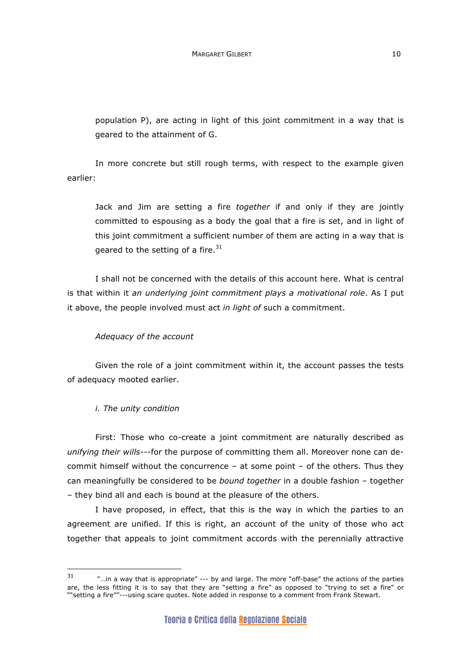population P), are acting in light of this joint commitment in a way that is geared to the attainment of G.

In more concrete but still rough terms, with respect to the example given earlier:

Jack and Jim are setting a fire *together* if and only if they are jointly committed to espousing as a body the goal that a fire is set, and in light of this joint commitment a sufficient number of them are acting in a way that is geared to the setting of a fire. $31$ 

I shall not be concerned with the details of this account here. What is central is that within it *an underlying joint commitment plays a motivational role*. As I put it above, the people involved must act *in light of* such a commitment.

## *Adequacy of the account*

Given the role of a joint commitment within it, the account passes the tests of adequacy mooted earlier.

## *i. The unity condition*

First: Those who co-create a joint commitment are naturally described as *unifying their wills*---for the purpose of committing them all. Moreover none can decommit himself without the concurrence – at some point – of the others. Thus they can meaningfully be considered to be *bound together* in a double fashion – together – they bind all and each is bound at the pleasure of the others.

I have proposed, in effect, that this is the way in which the parties to an agreement are unified. If this is right, an account of the unity of those who act together that appeals to joint commitment accords with the perennially attractive

 $31$ "...in a way that is appropriate" --- by and large. The more "off-base" the actions of the parties are, the less fitting it is to say that they are "setting a fire" as opposed to "trying to set a fire" or ""setting a fire""---using scare quotes. Note added in response to a comment from Frank Stewart.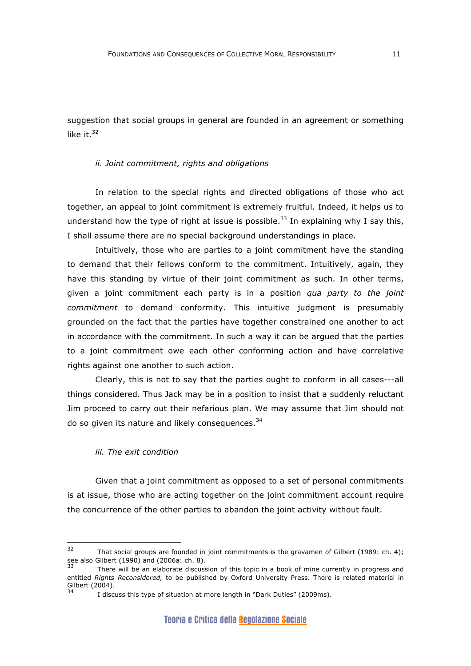suggestion that social groups in general are founded in an agreement or something like it. $32$ 

#### *ii. Joint commitment, rights and obligations*

In relation to the special rights and directed obligations of those who act together, an appeal to joint commitment is extremely fruitful. Indeed, it helps us to understand how the type of right at issue is possible.<sup>33</sup> In explaining why I say this, I shall assume there are no special background understandings in place.

Intuitively, those who are parties to a joint commitment have the standing to demand that their fellows conform to the commitment. Intuitively, again, they have this standing by virtue of their joint commitment as such. In other terms, given a joint commitment each party is in a position *qua party to the joint commitment* to demand conformity. This intuitive judgment is presumably grounded on the fact that the parties have together constrained one another to act in accordance with the commitment. In such a way it can be argued that the parties to a joint commitment owe each other conforming action and have correlative rights against one another to such action.

Clearly, this is not to say that the parties ought to conform in all cases---all things considered. Thus Jack may be in a position to insist that a suddenly reluctant Jim proceed to carry out their nefarious plan. We may assume that Jim should not do so given its nature and likely consequences.  $34$ 

#### *iii. The exit condition*

Given that a joint commitment as opposed to a set of personal commitments is at issue, those who are acting together on the joint commitment account require the concurrence of the other parties to abandon the joint activity without fault.

 $32$ That social groups are founded in joint commitments is the gravamen of Gilbert (1989: ch. 4); see also Gilbert (1990) and (2006a: ch. 8).

There will be an elaborate discussion of this topic in a book of mine currently in progress and entitled *Rights Reconsidered,* to be published by Oxford University Press. There is related material in Gilbert (2004).

I discuss this type of situation at more length in "Dark Duties" (2009ms).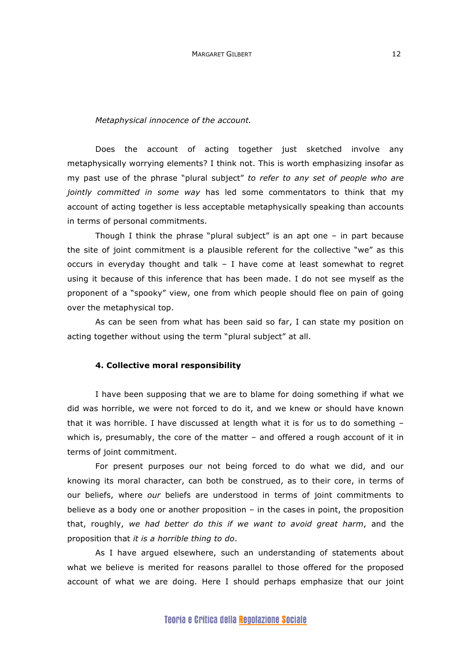#### *Metaphysical innocence of the account.*

Does the account of acting together just sketched involve any metaphysically worrying elements? I think not. This is worth emphasizing insofar as my past use of the phrase "plural subject" *to refer to any set of people who are jointly committed in some way* has led some commentators to think that my account of acting together is less acceptable metaphysically speaking than accounts in terms of personal commitments.

Though I think the phrase "plural subject" is an apt one – in part because the site of joint commitment is a plausible referent for the collective "we" as this occurs in everyday thought and talk – I have come at least somewhat to regret using it because of this inference that has been made. I do not see myself as the proponent of a "spooky" view, one from which people should flee on pain of going over the metaphysical top.

As can be seen from what has been said so far, I can state my position on acting together without using the term "plural subject" at all.

#### **4. Collective moral responsibility**

I have been supposing that we are to blame for doing something if what we did was horrible, we were not forced to do it, and we knew or should have known that it was horrible. I have discussed at length what it is for us to do something – which is, presumably, the core of the matter – and offered a rough account of it in terms of joint commitment.

For present purposes our not being forced to do what we did, and our knowing its moral character, can both be construed, as to their core, in terms of our beliefs, where *our* beliefs are understood in terms of joint commitments to believe as a body one or another proposition – in the cases in point, the proposition that, roughly, *we had better do this if we want to avoid great harm*, and the proposition that *it is a horrible thing to do*.

As I have argued elsewhere, such an understanding of statements about what we believe is merited for reasons parallel to those offered for the proposed account of what we are doing. Here I should perhaps emphasize that our joint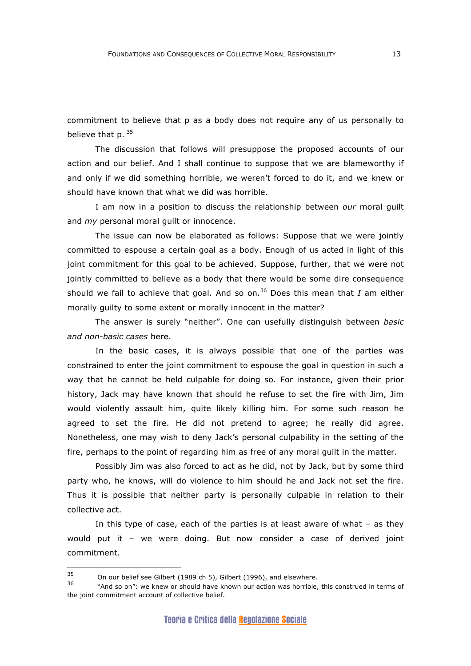commitment to believe that p as a body does not require any of us personally to believe that  $p.$   $35$ 

The discussion that follows will presuppose the proposed accounts of our action and our belief. And I shall continue to suppose that we are blameworthy if and only if we did something horrible, we weren't forced to do it, and we knew or should have known that what we did was horrible.

I am now in a position to discuss the relationship between *our* moral guilt and *my* personal moral guilt or innocence.

The issue can now be elaborated as follows: Suppose that we were jointly committed to espouse a certain goal as a body. Enough of us acted in light of this joint commitment for this goal to be achieved. Suppose, further, that we were not jointly committed to believe as a body that there would be some dire consequence should we fail to achieve that goal. And so on.36 Does this mean that *I* am either morally guilty to some extent or morally innocent in the matter?

The answer is surely "neither". One can usefully distinguish between *basic and non-basic cases* here.

In the basic cases, it is always possible that one of the parties was constrained to enter the joint commitment to espouse the goal in question in such a way that he cannot be held culpable for doing so. For instance, given their prior history, Jack may have known that should he refuse to set the fire with Jim, Jim would violently assault him, quite likely killing him. For some such reason he agreed to set the fire. He did not pretend to agree; he really did agree. Nonetheless, one may wish to deny Jack's personal culpability in the setting of the fire, perhaps to the point of regarding him as free of any moral guilt in the matter.

Possibly Jim was also forced to act as he did, not by Jack, but by some third party who, he knows, will do violence to him should he and Jack not set the fire. Thus it is possible that neither party is personally culpable in relation to their collective act.

In this type of case, each of the parties is at least aware of what – as they would put it – we were doing. But now consider a case of derived joint commitment.

 $\overline{a}$ 

<sup>35</sup> On our belief see Gilbert (1989 ch 5), Gilbert (1996), and elsewhere.

<sup>36 &</sup>quot;And so on": we knew or should have known our action was horrible, this construed in terms of the joint commitment account of collective belief.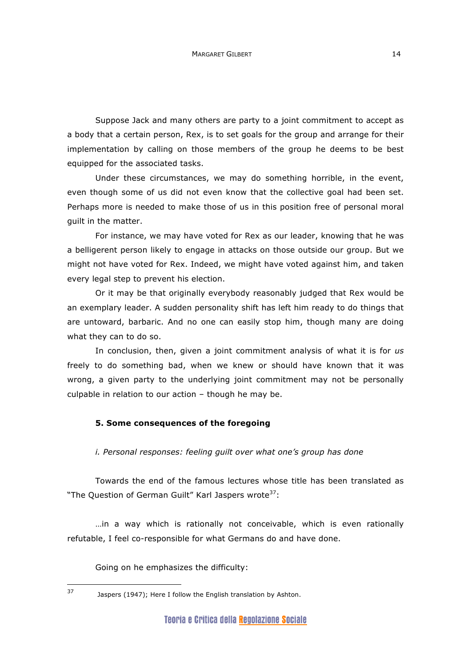Suppose Jack and many others are party to a joint commitment to accept as a body that a certain person, Rex, is to set goals for the group and arrange for their implementation by calling on those members of the group he deems to be best equipped for the associated tasks.

Under these circumstances, we may do something horrible, in the event, even though some of us did not even know that the collective goal had been set. Perhaps more is needed to make those of us in this position free of personal moral guilt in the matter.

For instance, we may have voted for Rex as our leader, knowing that he was a belligerent person likely to engage in attacks on those outside our group. But we might not have voted for Rex. Indeed, we might have voted against him, and taken every legal step to prevent his election.

Or it may be that originally everybody reasonably judged that Rex would be an exemplary leader. A sudden personality shift has left him ready to do things that are untoward, barbaric. And no one can easily stop him, though many are doing what they can to do so.

In conclusion, then, given a joint commitment analysis of what it is for *us* freely to do something bad, when we knew or should have known that it was wrong, a given party to the underlying joint commitment may not be personally culpable in relation to our action – though he may be.

## **5. Some consequences of the foregoing**

*i. Personal responses: feeling guilt over what one's group has done*

Towards the end of the famous lectures whose title has been translated as "The Question of German Guilt" Karl Jaspers wrote<sup>37</sup>:

…in a way which is rationally not conceivable, which is even rationally refutable, I feel co-responsible for what Germans do and have done.

Going on he emphasizes the difficulty:

 $37$ 

Jaspers (1947); Here I follow the English translation by Ashton.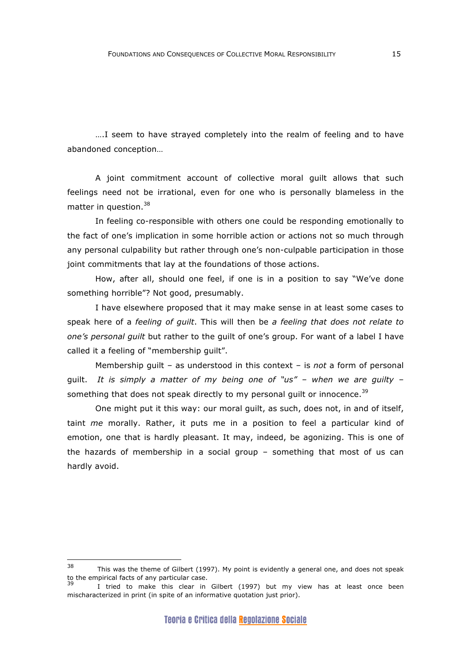….I seem to have strayed completely into the realm of feeling and to have abandoned conception…

A joint commitment account of collective moral guilt allows that such feelings need not be irrational, even for one who is personally blameless in the matter in question.<sup>38</sup>

In feeling co-responsible with others one could be responding emotionally to the fact of one's implication in some horrible action or actions not so much through any personal culpability but rather through one's non-culpable participation in those joint commitments that lay at the foundations of those actions.

How, after all, should one feel, if one is in a position to say "We've done something horrible"? Not good, presumably.

I have elsewhere proposed that it may make sense in at least some cases to speak here of a *feeling of guilt*. This will then be *a feeling that does not relate to one's personal guilt* but rather to the guilt of one's group. For want of a label I have called it a feeling of "membership guilt".

Membership guilt – as understood in this context – is *not* a form of personal guilt. *It is simply a matter of my being one of "us" – when we are guilty* – something that does not speak directly to my personal guilt or innocence.<sup>39</sup>

One might put it this way: our moral guilt, as such, does not, in and of itself, taint *me* morally. Rather, it puts me in a position to feel a particular kind of emotion, one that is hardly pleasant. It may, indeed, be agonizing. This is one of the hazards of membership in a social group – something that most of us can hardly avoid.

<sup>38</sup> This was the theme of Gilbert (1997). My point is evidently a general one, and does not speak to the empirical facts of any particular case.

I tried to make this clear in Gilbert (1997) but my view has at least once been mischaracterized in print (in spite of an informative quotation just prior).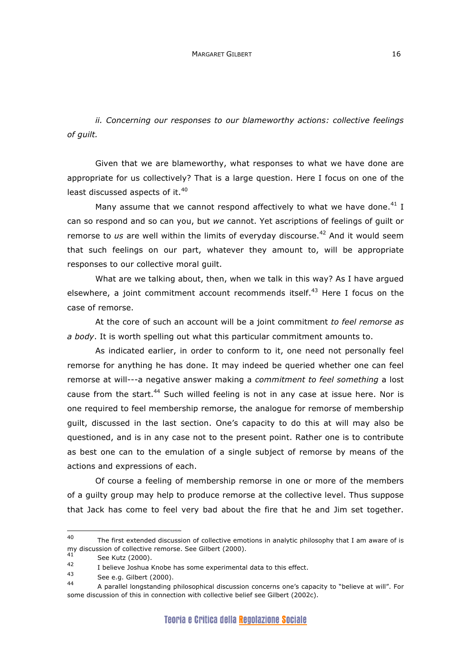*ii. Concerning our responses to our blameworthy actions: collective feelings of guilt.*

Given that we are blameworthy, what responses to what we have done are appropriate for us collectively? That is a large question. Here I focus on one of the least discussed aspects of it.<sup>40</sup>

Many assume that we cannot respond affectively to what we have done. $41$  I can so respond and so can you, but *we* cannot. Yet ascriptions of feelings of guilt or remorse to us are well within the limits of everyday discourse.<sup>42</sup> And it would seem that such feelings on our part, whatever they amount to, will be appropriate responses to our collective moral guilt.

What are we talking about, then, when we talk in this way? As I have argued elsewhere, a joint commitment account recommends itself.<sup>43</sup> Here I focus on the case of remorse.

At the core of such an account will be a joint commitment *to feel remorse as a body*. It is worth spelling out what this particular commitment amounts to.

As indicated earlier, in order to conform to it, one need not personally feel remorse for anything he has done. It may indeed be queried whether one can feel remorse at will---a negative answer making a *commitment to feel something* a lost cause from the start.<sup>44</sup> Such willed feeling is not in any case at issue here. Nor is one required to feel membership remorse, the analogue for remorse of membership guilt, discussed in the last section. One's capacity to do this at will may also be questioned, and is in any case not to the present point. Rather one is to contribute as best one can to the emulation of a single subject of remorse by means of the actions and expressions of each.

Of course a feeling of membership remorse in one or more of the members of a guilty group may help to produce remorse at the collective level. Thus suppose that Jack has come to feel very bad about the fire that he and Jim set together.

<sup>40</sup> The first extended discussion of collective emotions in analytic philosophy that I am aware of is my discussion of collective remorse. See Gilbert (2000).<br>41

 $\frac{41}{42}$  See Kutz (2000).

 $^{42}$  I believe Joshua Knobe has some experimental data to this effect.

 $^{43}$  See e.g. Gilbert (2000).

<sup>44</sup> A parallel longstanding philosophical discussion concerns one's capacity to "believe at will". For some discussion of this in connection with collective belief see Gilbert (2002c).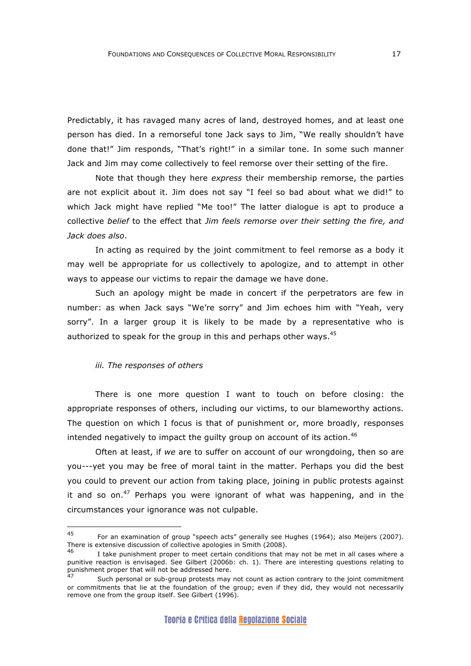Predictably, it has ravaged many acres of land, destroyed homes, and at least one person has died. In a remorseful tone Jack says to Jim, "We really shouldn't have done that!" Jim responds, "That's right!" in a similar tone. In some such manner Jack and Jim may come collectively to feel remorse over their setting of the fire.

Note that though they here *express* their membership remorse, the parties are not explicit about it. Jim does not say "I feel so bad about what we did!" to which Jack might have replied "Me too!" The latter dialogue is apt to produce a collective *belief* to the effect that *Jim feels remorse over their setting the fire, and Jack does also*.

In acting as required by the joint commitment to feel remorse as a body it may well be appropriate for us collectively to apologize, and to attempt in other ways to appease our victims to repair the damage we have done.

Such an apology might be made in concert if the perpetrators are few in number: as when Jack says "We're sorry" and Jim echoes him with "Yeah, very sorry". In a larger group it is likely to be made by a representative who is authorized to speak for the group in this and perhaps other ways.<sup>45</sup>

#### *iii. The responses of others*

There is one more question I want to touch on before closing: the appropriate responses of others, including our victims, to our blameworthy actions. The question on which I focus is that of punishment or, more broadly, responses intended negatively to impact the quilty group on account of its action.  $46$ 

Often at least, if *we* are to suffer on account of our wrongdoing, then so are you---yet you may be free of moral taint in the matter. Perhaps you did the best you could to prevent our action from taking place, joining in public protests against it and so on.<sup>47</sup> Perhaps you were ignorant of what was happening, and in the circumstances your ignorance was not culpable.

<sup>45</sup> For an examination of group "speech acts" generally see Hughes (1964); also Meijers (2007). There is extensive discussion of collective apologies in Smith (2008).

I take punishment proper to meet certain conditions that may not be met in all cases where a punitive reaction is envisaged. See Gilbert (2006b: ch. 1). There are interesting questions relating to punishment proper that will not be addressed here.

Such personal or sub-group protests may not count as action contrary to the joint commitment or commitments that lie at the foundation of the group; even if they did, they would not necessarily remove one from the group itself. See Gilbert (1996).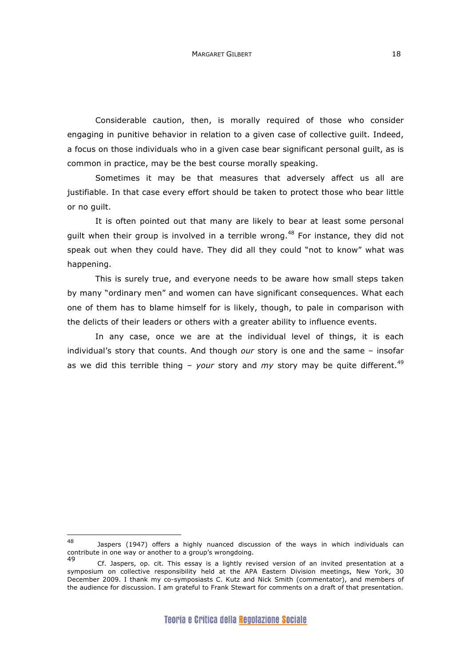Considerable caution, then, is morally required of those who consider engaging in punitive behavior in relation to a given case of collective guilt. Indeed, a focus on those individuals who in a given case bear significant personal guilt, as is common in practice, may be the best course morally speaking.

Sometimes it may be that measures that adversely affect us all are justifiable. In that case every effort should be taken to protect those who bear little or no guilt.

It is often pointed out that many are likely to bear at least some personal guilt when their group is involved in a terrible wrong.<sup>48</sup> For instance, they did not speak out when they could have. They did all they could "not to know" what was happening.

This is surely true, and everyone needs to be aware how small steps taken by many "ordinary men" and women can have significant consequences. What each one of them has to blame himself for is likely, though, to pale in comparison with the delicts of their leaders or others with a greater ability to influence events.

In any case, once we are at the individual level of things, it is each individual's story that counts. And though *our* story is one and the same – insofar as we did this terrible thing - *your* story and *my* story may be quite different.<sup>49</sup>

<sup>48</sup> Jaspers (1947) offers a highly nuanced discussion of the ways in which individuals can contribute in one way or another to a group's wrongdoing.

Cf. Jaspers, op. cit. This essay is a lightly revised version of an invited presentation at a symposium on collective responsibility held at the APA Eastern Division meetings, New York, 30 December 2009. I thank my co-symposiasts C. Kutz and Nick Smith (commentator), and members of the audience for discussion. I am grateful to Frank Stewart for comments on a draft of that presentation.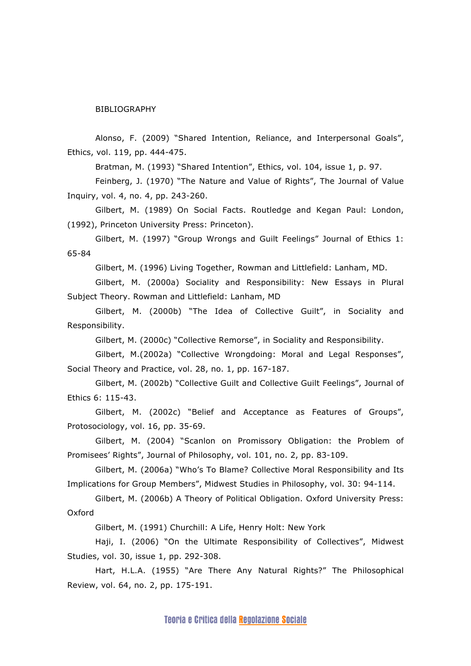BIBLIOGRAPHY

Alonso, F. (2009) "Shared Intention, Reliance, and Interpersonal Goals", Ethics, vol. 119, pp. 444-475.

Bratman, M. (1993) "Shared Intention", Ethics, vol. 104, issue 1, p. 97.

Feinberg, J. (1970) "The Nature and Value of Rights", The Journal of Value Inquiry, vol. 4, no. 4, pp. 243-260.

Gilbert, M. (1989) On Social Facts. Routledge and Kegan Paul: London, (1992), Princeton University Press: Princeton).

Gilbert, M. (1997) "Group Wrongs and Guilt Feelings" Journal of Ethics 1: 65-84

Gilbert, M. (1996) Living Together, Rowman and Littlefield: Lanham, MD.

Gilbert, M. (2000a) Sociality and Responsibility: New Essays in Plural Subject Theory. Rowman and Littlefield: Lanham, MD

Gilbert, M. (2000b) "The Idea of Collective Guilt", in Sociality and Responsibility.

Gilbert, M. (2000c) "Collective Remorse", in Sociality and Responsibility.

Gilbert, M.(2002a) "Collective Wrongdoing: Moral and Legal Responses", Social Theory and Practice, vol. 28, no. 1, pp. 167-187.

Gilbert, M. (2002b) "Collective Guilt and Collective Guilt Feelings", Journal of Ethics 6: 115-43.

Gilbert, M. (2002c) "Belief and Acceptance as Features of Groups", Protosociology, vol. 16, pp. 35-69.

Gilbert, M. (2004) "Scanlon on Promissory Obligation: the Problem of Promisees' Rights", Journal of Philosophy, vol. 101, no. 2, pp. 83-109.

Gilbert, M. (2006a) "Who's To Blame? Collective Moral Responsibility and Its Implications for Group Members", Midwest Studies in Philosophy, vol. 30: 94-114.

Gilbert, M. (2006b) A Theory of Political Obligation. Oxford University Press: Oxford

Gilbert, M. (1991) Churchill: A Life, Henry Holt: New York

Haji, I. (2006) "On the Ultimate Responsibility of Collectives", Midwest Studies, vol. 30, issue 1, pp. 292-308.

Hart, H.L.A. (1955) "Are There Any Natural Rights?" The Philosophical Review, vol. 64, no. 2, pp. 175-191.